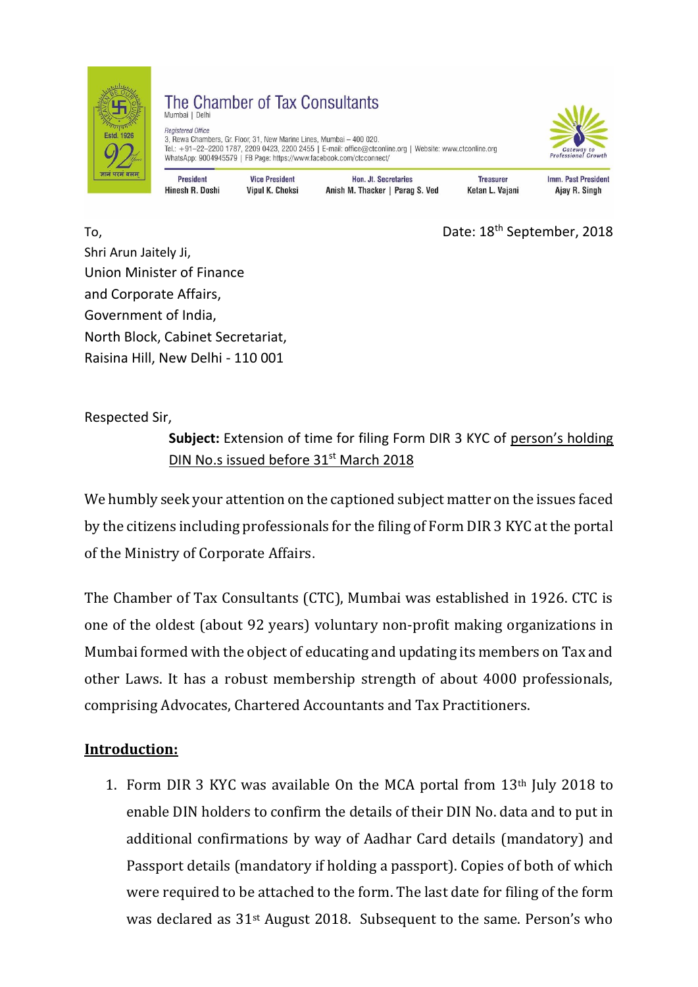

## The Chamber of Tax Consultants Mumbai | Delh

**Renistered Office** 3, Rewa Chambers, Gr. Floor, 31, New Marine Lines, Mumbai - 400 020. Tel.: +91-22-2200 1787, 2209 0423, 2200 2455 | E-mail: office@ctconline.org | Website: www.ctconline.org WhatsApp: 9004945579 | FB Page: https://www.facebook.com/ctcconnect/



| President<br>Hinesh R. Doshi | <b>Vice President</b><br>Vipul K. Choksi | Hon. Jt. Secretaries<br>Anish M. Thacker   Parag S. Ved | <b>Treasurer</b><br>Ketan L. Vajani | Imm. Past President<br>Ajay R. Singh |
|------------------------------|------------------------------------------|---------------------------------------------------------|-------------------------------------|--------------------------------------|
|------------------------------|------------------------------------------|---------------------------------------------------------|-------------------------------------|--------------------------------------|

To, Date: 18th September, 2018

Shri Arun Jaitely Ji, Union Minister of Finance and Corporate Affairs, Government of India, North Block, Cabinet Secretariat, Raisina Hill, New Delhi - 110 001

Respected Sir,

**Subject:** Extension of time for filing Form DIR 3 KYC of person's holding DIN No.s issued before 31<sup>st</sup> March 2018

We humbly seek your attention on the captioned subject matter on the issues faced by the citizens including professionals for the filing of Form DIR 3 KYC at the portal of the Ministry of Corporate Affairs.

The Chamber of Tax Consultants (CTC), Mumbai was established in 1926. CTC is one of the oldest (about 92 years) voluntary non-profit making organizations in Mumbai formed with the object of educating and updating its members on Tax and other Laws. It has a robust membership strength of about 4000 professionals, comprising Advocates, Chartered Accountants and Tax Practitioners.

## **Introduction:**

1. Form DIR 3 KYC was available On the MCA portal from 13th July 2018 to enable DIN holders to confirm the details of their DIN No. data and to put in additional confirmations by way of Aadhar Card details (mandatory) and Passport details (mandatory if holding a passport). Copies of both of which were required to be attached to the form. The last date for filing of the form was declared as 31st August 2018. Subsequent to the same. Person's who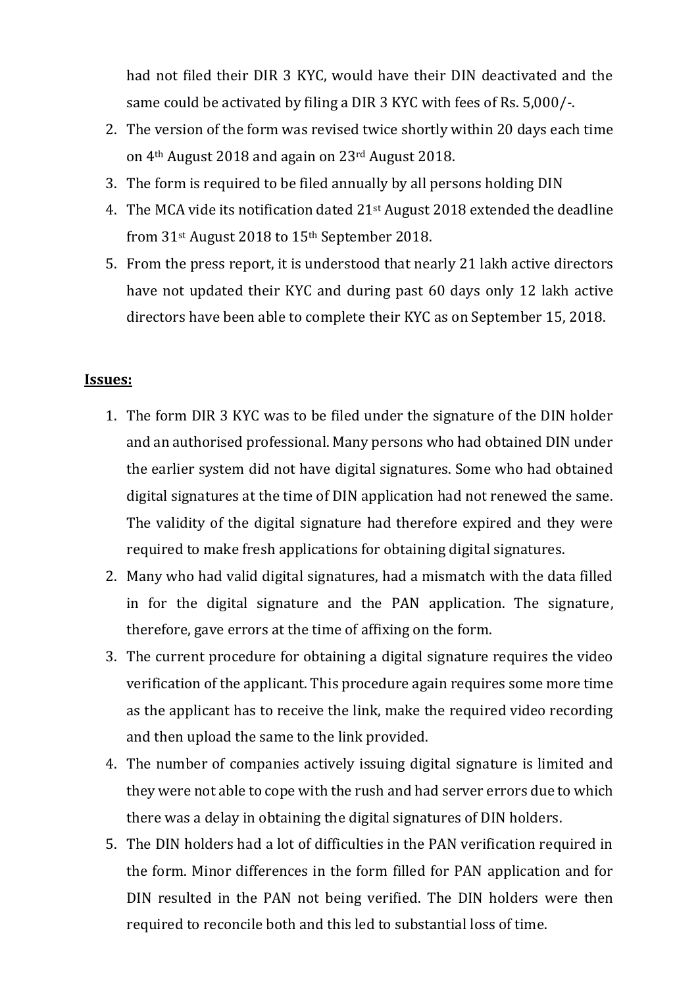had not filed their DIR 3 KYC, would have their DIN deactivated and the same could be activated by filing a DIR 3 KYC with fees of Rs. 5,000/-.

- 2. The version of the form was revised twice shortly within 20 days each time on 4th August 2018 and again on 23rd August 2018.
- 3. The form is required to be filed annually by all persons holding DIN
- 4. The MCA vide its notification dated 21st August 2018 extended the deadline from 31st August 2018 to 15th September 2018.
- 5. From the press report, it is understood that nearly 21 lakh active directors have not updated their KYC and during past 60 days only 12 lakh active directors have been able to complete their KYC as on September 15, 2018.

## **Issues:**

- 1. The form DIR 3 KYC was to be filed under the signature of the DIN holder and an authorised professional. Many persons who had obtained DIN under the earlier system did not have digital signatures. Some who had obtained digital signatures at the time of DIN application had not renewed the same. The validity of the digital signature had therefore expired and they were required to make fresh applications for obtaining digital signatures.
- 2. Many who had valid digital signatures, had a mismatch with the data filled in for the digital signature and the PAN application. The signature, therefore, gave errors at the time of affixing on the form.
- 3. The current procedure for obtaining a digital signature requires the video verification of the applicant. This procedure again requires some more time as the applicant has to receive the link, make the required video recording and then upload the same to the link provided.
- 4. The number of companies actively issuing digital signature is limited and they were not able to cope with the rush and had server errors due to which there was a delay in obtaining the digital signatures of DIN holders.
- 5. The DIN holders had a lot of difficulties in the PAN verification required in the form. Minor differences in the form filled for PAN application and for DIN resulted in the PAN not being verified. The DIN holders were then required to reconcile both and this led to substantial loss of time.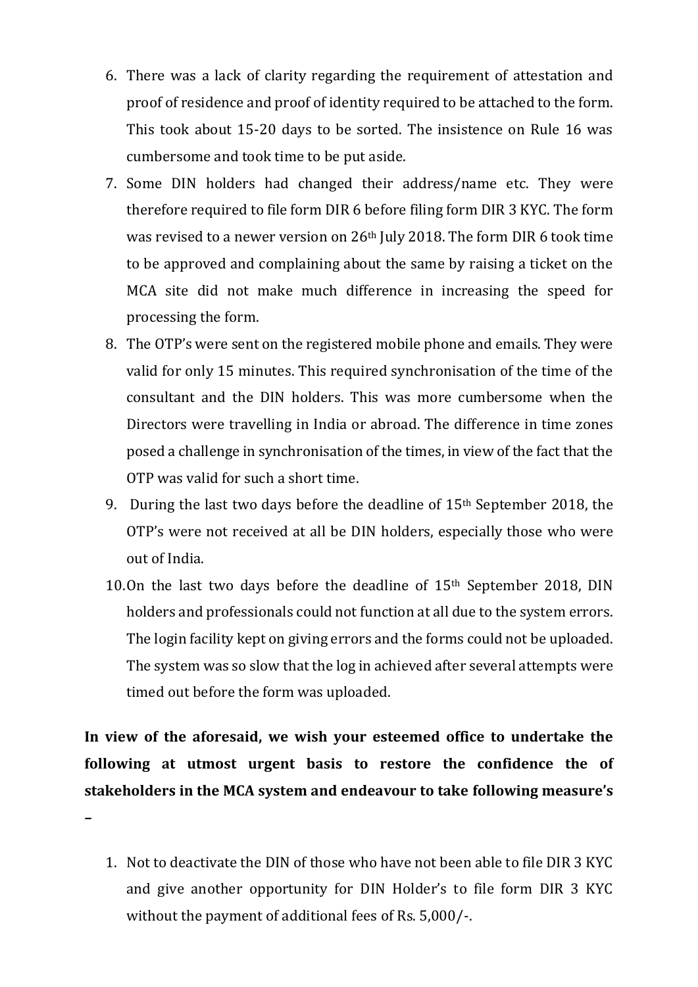- 6. There was a lack of clarity regarding the requirement of attestation and proof of residence and proof of identity required to be attached to the form. This took about 15-20 days to be sorted. The insistence on Rule 16 was cumbersome and took time to be put aside.
- 7. Some DIN holders had changed their address/name etc. They were therefore required to file form DIR 6 before filing form DIR 3 KYC. The form was revised to a newer version on 26th July 2018. The form DIR 6 took time to be approved and complaining about the same by raising a ticket on the MCA site did not make much difference in increasing the speed for processing the form.
- 8. The OTP's were sent on the registered mobile phone and emails. They were valid for only 15 minutes. This required synchronisation of the time of the consultant and the DIN holders. This was more cumbersome when the Directors were travelling in India or abroad. The difference in time zones posed a challenge in synchronisation of the times, in view of the fact that the OTP was valid for such a short time.
- 9. During the last two days before the deadline of 15<sup>th</sup> September 2018, the OTP's were not received at all be DIN holders, especially those who were out of India.
- 10.On the last two days before the deadline of 15th September 2018, DIN holders and professionals could not function at all due to the system errors. The login facility kept on giving errors and the forms could not be uploaded. The system was so slow that the log in achieved after several attempts were timed out before the form was uploaded.

**In view of the aforesaid, we wish your esteemed office to undertake the following at utmost urgent basis to restore the confidence the of stakeholders in the MCA system and endeavour to take following measure's** 

- **–**
- 1. Not to deactivate the DIN of those who have not been able to file DIR 3 KYC and give another opportunity for DIN Holder's to file form DIR 3 KYC without the payment of additional fees of Rs. 5,000/-.